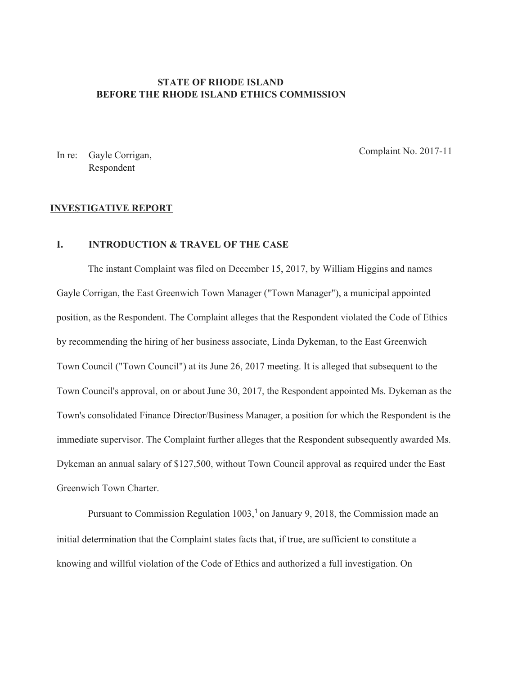# **STATE OF RHODE ISLAND BEFORE THE RHODE ISLAND ETHICS COMMISSION**

In re: Gayle Corrigan, Respondent

Complaint No. 2017-11

#### **INVESTIGATIVE REPORT**

# **I. INTRODUCTION & TRAVEL OF THE CASE**

The instant Complaint was filed on December 15, 2017, by William Higgins and names Gayle Corrigan, the East Greenwich Town Manager ("Town Manager"), a municipal appointed position, as the Respondent. The Complaint alleges that the Respondent violated the Code of Ethics by recommending the hiring of her business associate, Linda Dykeman, to the East Greenwich Town Council ("Town Council") at its June 26, 2017 meeting. It is alleged that subsequent to the Town Council's approval, on or about June 30, 2017, the Respondent appointed Ms. Dykeman as the Town's consolidated Finance Director/Business Manager, a position for which the Respondent is the immediate supervisor. The Complaint further alleges that the Respondent subsequently awarded Ms. Dykeman an annual salary of \$127,500, without Town Council approval as required under the East Greenwich Town Charter.

Pursuant to Commission Regulation 1003,<sup>1</sup> on January 9, 2018, the Commission made an initial determination that the Complaint states facts that, if true, are sufficient to constitute a knowing and willful violation of the Code of Ethics and authorized a full investigation. On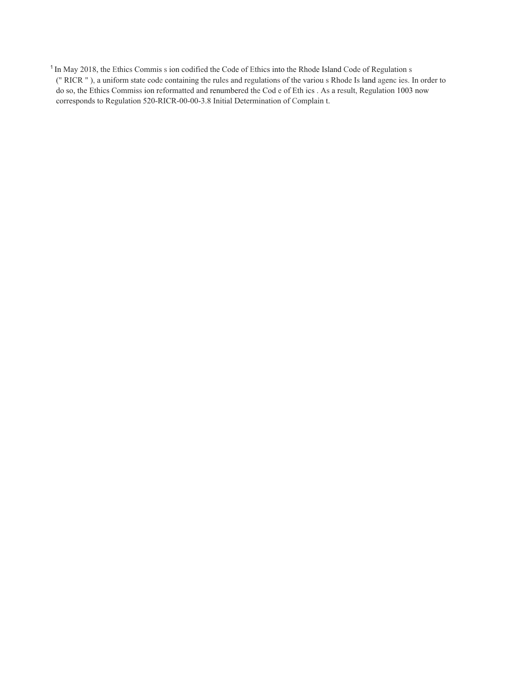<sup>1</sup> In May 2018, the Ethics Commis s ion codified the Code of Ethics into the Rhode Island Code of Regulation s (" RICR " ), a uniform state code containing the rules and regulations of the variou s Rhode Is land agenc ies. In order to do so, the Ethics Commiss ion reformatted and renumbered the Cod e of Eth ics . As a result, Regulation 1003 now corresponds to Regulation 520-RICR-00-00-3.8 Initial Determination of Complain t.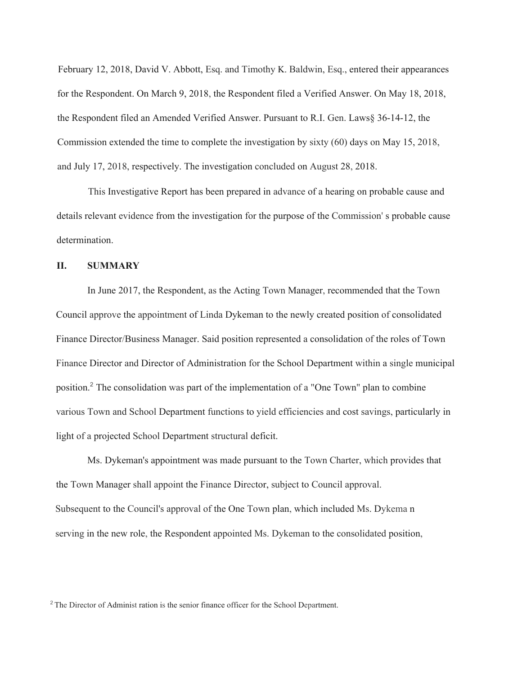February 12, 2018, David V. Abbott, Esq. and Timothy K. Baldwin, Esq., entered their appearances for the Respondent. On March 9, 2018, the Respondent filed a Verified Answer. On May 18, 2018, the Respondent filed an Amended Verified Answer. Pursuant to R.I. Gen. Laws§ 36-14-12, the Commission extended the time to complete the investigation by sixty (60) days on May 15, 2018, and July 17, 2018, respectively. The investigation concluded on August 28, 2018.

This Investigative Report has been prepared in advance of a hearing on probable cause and details relevant evidence from the investigation for the purpose of the Commission' s probable cause determination.

### **II. SUMMARY**

In June 2017, the Respondent, as the Acting Town Manager, recommended that the Town Council approve the appointment of Linda Dykeman to the newly created position of consolidated Finance Director/Business Manager. Said position represented a consolidation of the roles of Town Finance Director and Director of Administration for the School Department within a single municipal position. <sup>2</sup> The consolidation was part of the implementation of a "One Town" plan to combine various Town and School Department functions to yield efficiencies and cost savings, particularly in light of a projected School Department structural deficit.

Ms. Dykeman's appointment was made pursuant to the Town Charter, which provides that the Town Manager shall appoint the Finance Director, subject to Council approval. Subsequent to the Council's approval of the One Town plan, which included Ms. Dykema n serving in the new role, the Respondent appointed Ms. Dykeman to the consolidated position,

<sup>2</sup>The Director of Administ ration is the senior finance officer for the School Department.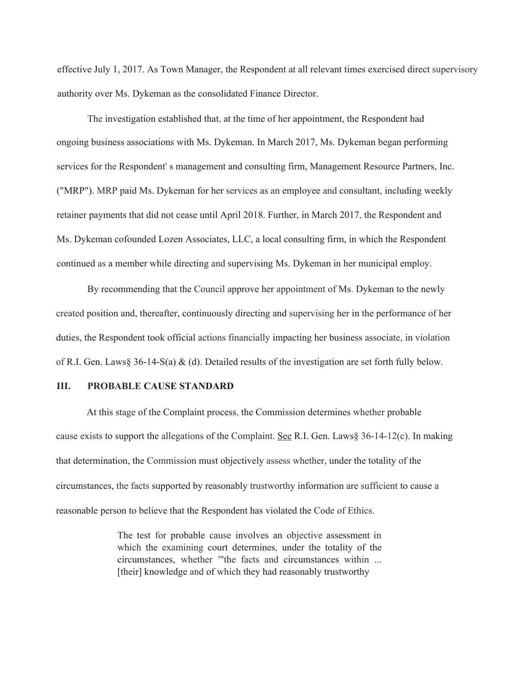effective July 1, 2017. As Town Manager, the Respondent at all relevant times exercised direct supervisory authority over Ms. Dykeman as the consolidated Finance Director.

The investigation established that, at the time of her appointment, the Respondent had ongoing business associations with Ms. Dykeman. In March 2017, Ms. Dykeman began performing services for the Respondent' s management and consulting firm, Management Resource Partners, Inc. ("MRP"). MRP paid Ms. Dykeman for her services as an employee and consultant, including weekly retainer payments that did not cease until April 2018. Further, in March 2017, the Respondent and Ms. Dykeman cofounded Lozen Associates, LLC, a local consulting firm, in which the Respondent continued as a member while directing and supervising Ms. Dykeman in her municipal employ.

By recommending that the Council approve her appointment of Ms. Dykeman to the newly created position and, thereafter, continuously directing and supervising her in the performance of her duties, the Respondent took official actions financially impacting her business associate, in violation of R.I. Gen. Laws§ 36-14-S(a) & (d). Detailed results of the investigation are set forth fully below.

# **III. PROBABLE CAUSE STANDARD**

At this stage of the Complaint process, the Commission determines whether probable cause exists to support the allegations of the Complaint. See R.I. Gen. Laws§ 36-14-12(c). In making that determination, the Commission must objectively assess whether, under the totality of the circumstances, the facts supported by reasonably trustworthy information are sufficient to cause a reasonable person to believe that the Respondent has violated the Code of Ethics.

> The test for probable cause involves an objective assessment in which the examining court determines, under the totality of the circumstances, whether '"the facts and circumstances within ... [their] knowledge and of which they had reasonably trustworthy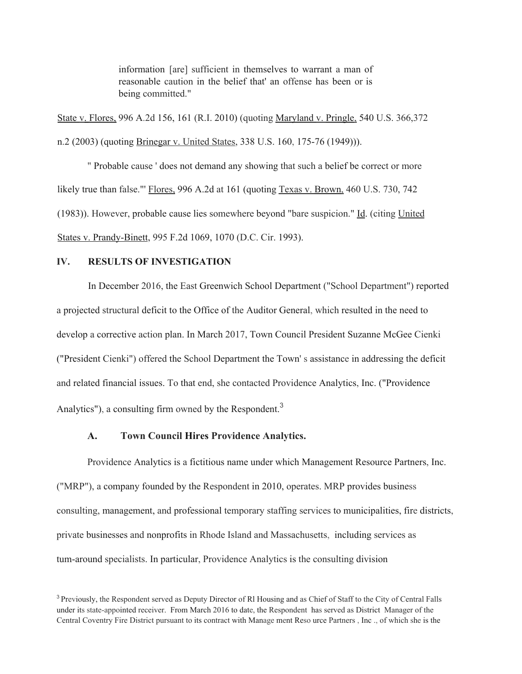information [are] sufficient in themselves to warrant a man of reasonable caution in the belief that' an offense has been or is being committed."

State v. Flores, 996 A.2d 156, 161 (R.I. 2010) (quoting Maryland v. Pringle, 540 U.S. 366,372 n.2 (2003) (quoting Brinegar v. United States, 338 U.S. 160, 175-76 (1949))).

" Probable cause ' does not demand any showing that such a belief be correct or more likely true than false."' Flores, 996 A.2d at 161 (quoting Texas v. Brown, 460 U.S. 730, 742 (1983)). However, probable cause lies somewhere beyond "bare suspicion." Id. (citing United States v. Prandy-Binett, 995 F.2d 1069, 1070 (D.C. Cir. 1993).

### **IV. RESULTS OF INVESTIGATION**

In December 2016, the East Greenwich School Department ("School Department") reported a projected structural deficit to the Office of the Auditor General, which resulted in the need to develop a corrective action plan. In March 2017, Town Council President Suzanne McGee Cienki ("President Cienki") offered the School Department the Town' s assistance in addressing the deficit and related financial issues. To that end, she contacted Providence Analytics, Inc. ("Providence Analytics"), a consulting firm owned by the Respondent.<sup>3</sup>

## **A. Town Council Hires Providence Analytics.**

Providence Analytics is a fictitious name under which Management Resource Partners, Inc. ("MRP"), a company founded by the Respondent in 2010, operates. MRP provides business consulting, management, and professional temporary staffing services to municipalities, fire districts, private businesses and nonprofits in Rhode Island and Massachusetts, including services as tum-around specialists. In particular, Providence Analytics is the consulting division

<sup>&</sup>lt;sup>3</sup> Previously, the Respondent served as Deputy Director of Rl Housing and as Chief of Staff to the City of Central Falls under its state-appointed receiver. From March 2016 to date, the Respondent has served as District Manager of the Central Coventry Fire District pursuant to its contract with Manage ment Reso urce Partners , Inc ., of which she is the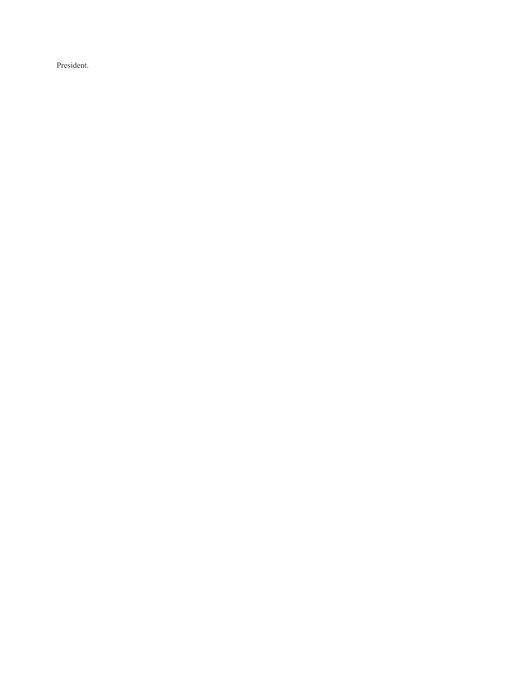President.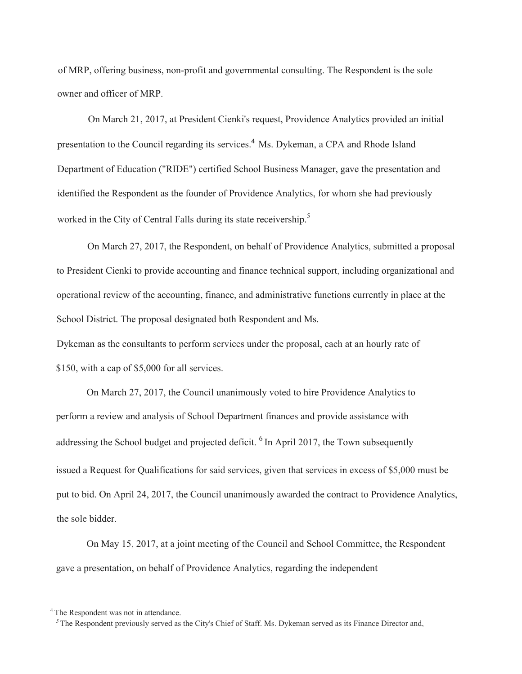of MRP, offering business, non-profit and governmental consulting. The Respondent is the sole owner and officer of MRP.

On March 21, 2017, at President Cienki's request, Providence Analytics provided an initial presentation to the Council regarding its services.<sup>4</sup> Ms. Dykeman, a CPA and Rhode Island Department of Education ("RIDE") certified School Business Manager, gave the presentation and identified the Respondent as the founder of Providence Analytics, for whom she had previously worked in the City of Central Falls during its state receivership.<sup>5</sup>

On March 27, 2017, the Respondent, on behalf of Providence Analytics, submitted a proposal to President Cienki to provide accounting and finance technical support, including organizational and operational review of the accounting, finance, and administrative functions currently in place at the School District. The proposal designated both Respondent and Ms.

Dykeman as the consultants to perform services under the proposal, each at an hourly rate of \$150, with a cap of \$5,000 for all services.

On March 27, 2017, the Council unanimously voted to hire Providence Analytics to perform a review and analysis of School Department finances and provide assistance with addressing the School budget and projected deficit. <sup>6</sup> In April 2017, the Town subsequently issued a Request for Qualifications for said services, given that services in excess of \$5,000 must be put to bid. On April 24, 2017, the Council unanimously awarded the contract to Providence Analytics, the sole bidder.

On May 15, 2017, at a joint meeting of the Council and School Committee, the Respondent gave a presentation, on behalf of Providence Analytics, regarding the independent

<sup>&</sup>lt;sup>4</sup> The Respondent was not in attendance.

*<sup>5</sup>* The Respondent previously served as the City's Chief of Staff. Ms. Dykeman served as its Finance Director and,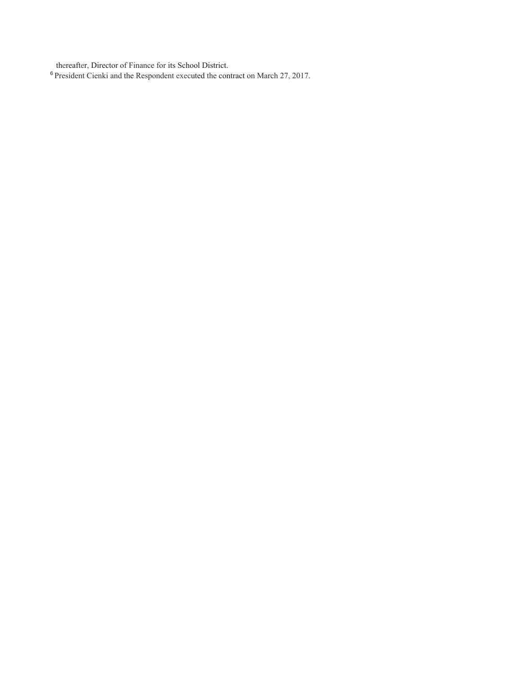thereafter, Director of Finance for its School District.

<sup>6</sup> President Cienki and the Respondent executed the contract on March 27, 2017.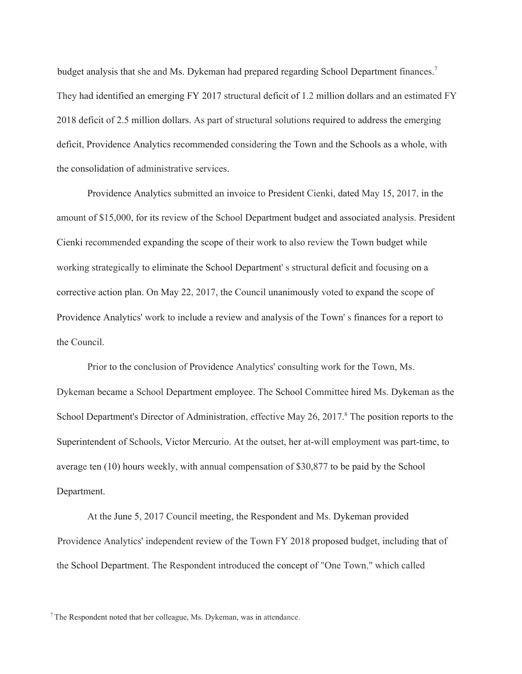budget analysis that she and Ms. Dykeman had prepared regarding School Department finances.<sup>7</sup> They had identified an emerging FY 2017 structural deficit of 1.2 million dollars and an estimated FY 2018 deficit of 2.5 million dollars. As part of structural solutions required to address the emerging deficit, Providence Analytics recommended considering the Town and the Schools as a whole, with the consolidation of administrative services.

Providence Analytics submitted an invoice to President Cienki, dated May 15, 2017, in the amount of \$15,000, for its review of the School Department budget and associated analysis. President Cienki recommended expanding the scope of their work to also review the Town budget while working strategically to eliminate the School Department' s structural deficit and focusing on a corrective action plan. On May 22, 2017, the Council unanimously voted to expand the scope of Providence Analytics' work to include a review and analysis of the Town' s finances for a report to the Council.

Prior to the conclusion of Providence Analytics' consulting work for the Town, Ms. Dykeman became a School Department employee. The School Committee hired Ms. Dykeman as the School Department's Director of Administration, effective May 26, 2017.<sup>8</sup> The position reports to the Superintendent of Schools, Victor Mercurio. At the outset, her at-will employment was part-time, to average ten (10) hours weekly, with annual compensation of \$30,877 to be paid by the School Department.

At the June 5, 2017 Council meeting, the Respondent and Ms. Dykeman provided Providence Analytics' independent review of the Town FY 2018 proposed budget, including that of the School Department. The Respondent introduced the concept of "One Town," which called

<sup>7</sup> The Respondent noted that her colleague, Ms. Dykeman, was in attendance.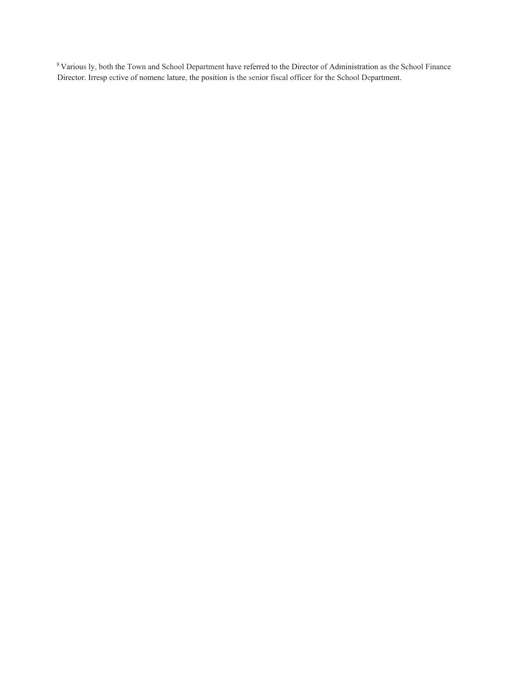<sup>8</sup> Various ly, both the Town and School Department have referred to the Director of Administration as the School Finance Director. Irresp ective of nomenc lature, the position is the senior fiscal officer for the School Department.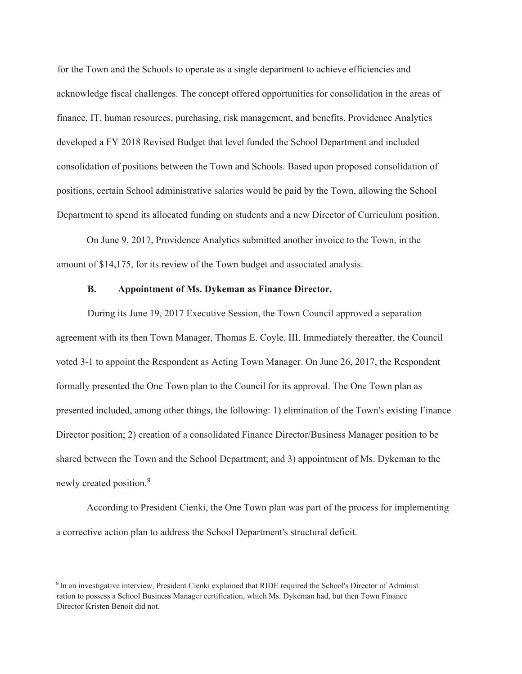for the Town and the Schools to operate as a single department to achieve efficiencies and acknowledge fiscal challenges. The concept offered opportunities for consolidation in the areas of finance, IT, human resources, purchasing, risk management, and benefits. Providence Analytics developed a FY 2018 Revised Budget that level funded the School Department and included consolidation of positions between the Town and Schools. Based upon proposed consolidation of positions, certain School administrative salaries would be paid by the Town, allowing the School Department to spend its allocated funding on students and a new Director of Curriculum position.

On June 9, 2017, Providence Analytics submitted another invoice to the Town, in the amount of \$14,175, for its review of the Town budget and associated analysis.

#### **B. Appointment of Ms. Dykeman as Finance Director.**

During its June 19, 2017 Executive Session, the Town Council approved a separation agreement with its then Town Manager, Thomas E. Coyle, III. Immediately thereafter, the Council voted 3-1 to appoint the Respondent as Acting Town Manager. On June 26, 2017, the Respondent formally presented the One Town plan to the Council for its approval. The One Town plan as presented included, among other things, the following: 1) elimination of the Town's existing Finance Director position; 2) creation of a consolidated Finance Director/Business Manager position to be shared between the Town and the School Department; and 3) appointment of Ms. Dykeman to the newly created position.<sup>9</sup>

According to President Cienki, the One Town plan was part of the process for implementing a corrective action plan to address the School Department's structural deficit.

<sup>&</sup>lt;sup>9</sup> In an investigative interview, President Cienki explained that RIDE required the School's Director of Administ ration to possess a School Business Manager certification, which Ms. Dykeman had, but then Town Finance Director Kristen Benoit did not.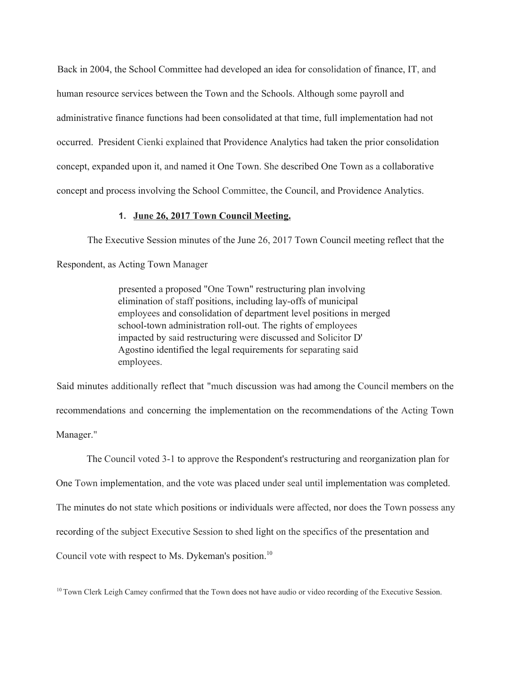Back in 2004, the School Committee had developed an idea for consolidation of finance, IT, and human resource services between the Town and the Schools. Although some payroll and administrative finance functions had been consolidated at that time, full implementation had not occurred. President Cienki explained that Providence Analytics had taken the prior consolidation concept, expanded upon it, and named it One Town. She described One Town as a collaborative concept and process involving the School Committee, the Council, and Providence Analytics.

### **1. June 26, 2017 Town Council Meeting.**

The Executive Session minutes of the June 26, 2017 Town Council meeting reflect that the

Respondent, as Acting Town Manager

presented a proposed "One Town" restructuring plan involving elimination of staff positions, including lay-offs of municipal employees and consolidation of department level positions in merged school-town administration roll-out. The rights of employees impacted by said restructuring were discussed and Solicitor D' Agostino identified the legal requirements for separating said employees.

Said minutes additionally reflect that "much discussion was had among the Council members on the recommendations and concerning the implementation on the recommendations of the Acting Town Manager."

The Council voted 3-1 to approve the Respondent's restructuring and reorganization plan for One Town implementation, and the vote was placed under seal until implementation was completed. The minutes do not state which positions or individuals were affected, nor does the Town possess any recording of the subject Executive Session to shed light on the specifics of the presentation and Council vote with respect to Ms. Dykeman's position. 10

<sup>10</sup> Town Clerk Leigh Camey confirmed that the Town does not have audio or video recording of the Executive Session.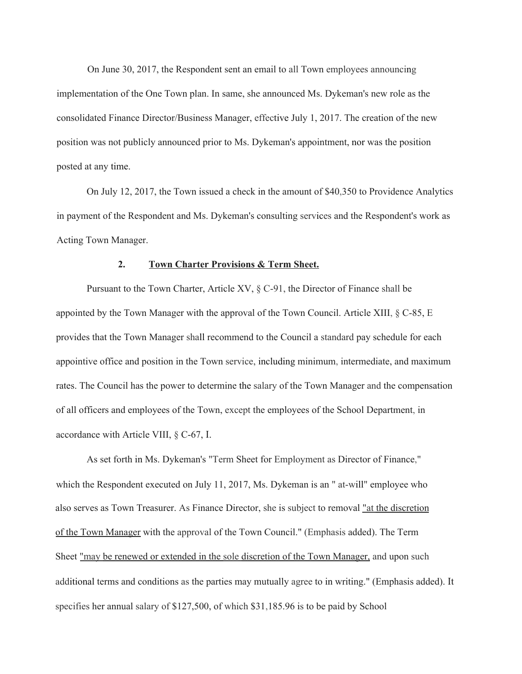On June 30, 2017, the Respondent sent an email to all Town employees announcing implementation of the One Town plan. In same, she announced Ms. Dykeman's new role as the consolidated Finance Director/Business Manager, effective July 1, 2017. The creation of the new position was not publicly announced prior to Ms. Dykeman's appointment, nor was the position posted at any time.

On July 12, 2017, the Town issued a check in the amount of \$40,350 to Providence Analytics in payment of the Respondent and Ms. Dykeman's consulting services and the Respondent's work as Acting Town Manager.

### **2. Town Charter Provisions & Term Sheet.**

Pursuant to the Town Charter, Article XV, § C-91, the Director of Finance shall be appointed by the Town Manager with the approval of the Town Council. Article XIII, § C-85, E provides that the Town Manager shall recommend to the Council a standard pay schedule for each appointive office and position in the Town service, including minimum, intermediate, and maximum rates. The Council has the power to determine the salary of the Town Manager and the compensation of all officers and employees of the Town, except the employees of the School Department, in accordance with Article VIII, § C-67, I.

As set forth in Ms. Dykeman's "Term Sheet for Employment as Director of Finance," which the Respondent executed on July 11, 2017, Ms. Dykeman is an " at-will" employee who also serves as Town Treasurer. As Finance Director, she is subject to removal "at the discretion of the Town Manager with the approval of the Town Council." (Emphasis added). The Term Sheet "may be renewed or extended in the sole discretion of the Town Manager, and upon such additional terms and conditions as the parties may mutually agree to in writing." (Emphasis added). It specifies her annual salary of \$127,500, of which \$31,185.96 is to be paid by School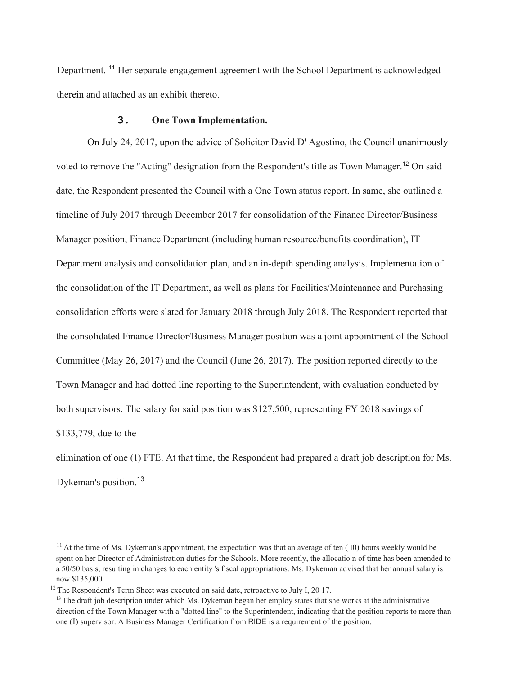Department.<sup>11</sup> Her separate engagement agreement with the School Department is acknowledged therein and attached as an exhibit thereto.

#### **3. One Town Implementation.**

On July 24, 2017, upon the advice of Solicitor David D' Agostino, the Council unanimously voted to remove the "Acting" designation from the Respondent's title as Town Manager.<sup>12</sup> On said date, the Respondent presented the Council with a One Town status report. In same, she outlined a timeline of July 2017 through December 2017 for consolidation of the Finance Director/Business Manager position, Finance Department (including human resource/benefits coordination), IT Department analysis and consolidation plan, and an in-depth spending analysis. Implementation of the consolidation of the IT Department, as well as plans for Facilities/Maintenance and Purchasing consolidation efforts were slated for January 2018 through July 2018. The Respondent reported that the consolidated Finance Director/Business Manager position was a joint appointment of the School Committee (May 26, 2017) and the Council (June 26, 2017). The position reported directly to the Town Manager and had dotted line reporting to the Superintendent, with evaluation conducted by both supervisors. The salary for said position was \$127,500, representing FY 2018 savings of \$133,779, due to the

elimination of one (1) FTE. At that time, the Respondent had prepared a draft job description for Ms. Dykeman's position.<sup>13</sup>

 $11$  At the time of Ms. Dykeman's appointment, the expectation was that an average of ten  $(10)$  hours weekly would be spent on her Director of Administration duties for the Schools. More recently, the allocatio n of time has been amended to a 50/50 basis, resulting in changes to each entity 's fiscal appropriations. Ms. Dykeman advised that her annual salary is now \$135,000.

<sup>&</sup>lt;sup>12</sup> The Respondent's Term Sheet was executed on said date, retroactive to July I, 20 17.

 $<sup>13</sup>$  The draft job description under which Ms. Dykeman began her employ states that she works at the administrative</sup> direction of the Town Manager with a "dotted line" to the Superintendent, indicating that the position reports to more than one (I) supervisor. A Business Manager Certification from RIDE is a requirement of the position.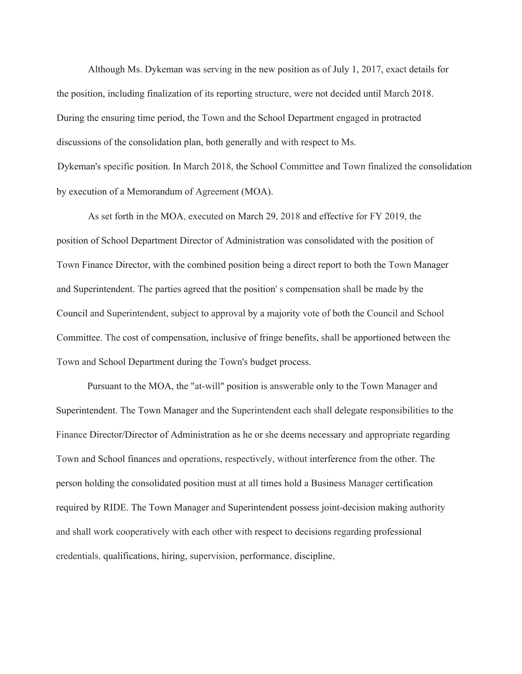Although Ms. Dykeman was serving in the new position as of July 1, 2017, exact details for the position, including finalization of its reporting structure, were not decided until March 2018. During the ensuring time period, the Town and the School Department engaged in protracted discussions of the consolidation plan, both generally and with respect to Ms.

Dykeman's specific position. In March 2018, the School Committee and Town finalized the consolidation by execution of a Memorandum of Agreement (MOA).

As set forth in the MOA, executed on March 29, 2018 and effective for FY 2019, the position of School Department Director of Administration was consolidated with the position of Town Finance Director, with the combined position being a direct report to both the Town Manager and Superintendent. The parties agreed that the position' s compensation shall be made by the Council and Superintendent, subject to approval by a majority vote of both the Council and School Committee. The cost of compensation, inclusive of fringe benefits, shall be apportioned between the Town and School Department during the Town's budget process.

Pursuant to the MOA, the "at-will" position is answerable only to the Town Manager and Superintendent. The Town Manager and the Superintendent each shall delegate responsibilities to the Finance Director/Director of Administration as he or she deems necessary and appropriate regarding Town and School finances and operations, respectively, without interference from the other. The person holding the consolidated position must at all times hold a Business Manager certification required by RIDE. The Town Manager and Superintendent possess joint-decision making authority and shall work cooperatively with each other with respect to decisions regarding professional credentials, qualifications, hiring, supervision, performance, discipline,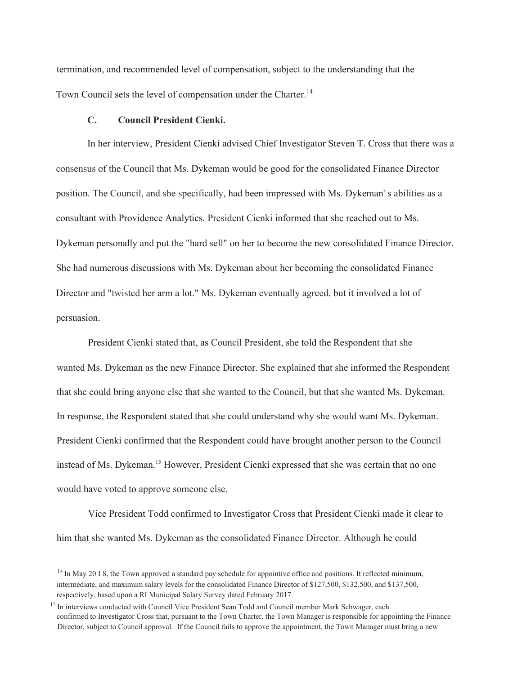termination, and recommended level of compensation, subject to the understanding that the Town Council sets the level of compensation under the Charter.<sup>14</sup>

#### **C. Council President Cienki.**

In her interview, President Cienki advised Chief Investigator Steven T. Cross that there was a consensus of the Council that Ms. Dykeman would be good for the consolidated Finance Director position. The Council, and she specifically, had been impressed with Ms. Dykeman' s abilities as a consultant with Providence Analytics. President Cienki informed that she reached out to Ms. Dykeman personally and put the "hard sell" on her to become the new consolidated Finance Director. She had numerous discussions with Ms. Dykeman about her becoming the consolidated Finance Director and "twisted her arm a lot." Ms. Dykeman eventually agreed, but it involved a lot of persuasion.

President Cienki stated that, as Council President, she told the Respondent that she wanted Ms. Dykeman as the new Finance Director. She explained that she informed the Respondent that she could bring anyone else that she wanted to the Council, but that she wanted Ms. Dykeman. In response, the Respondent stated that she could understand why she would want Ms. Dykeman. President Cienki confirmed that the Respondent could have brought another person to the Council instead of Ms. Dykeman. <sup>15</sup> However, President Cienki expressed that she was certain that no one would have voted to approve someone else.

Vice President Todd confirmed to Investigator Cross that President Cienki made it clear to him that she wanted Ms. Dykeman as the consolidated Finance Director. Although he could

<sup>&</sup>lt;sup>14</sup> In May 20 I 8, the Town approved a standard pay schedule for appointive office and positions. It reflected minimum, intermediate, and maximum salary levels for the consolidated Finance Director of \$127,500, \$132,500, and \$137,500, respectively, based upon a RI Municipal Salary Survey dated February 2017.

<sup>&</sup>lt;sup>15</sup> In interviews conducted with Council Vice President Sean Todd and Council member Mark Schwager, each confirmed to Investigator Cross that, pursuant to the Town Charter, the Town Manager is responsible for appointing the Finance Director, subject to Council approval. If the Council fails to approve the appointment, the Town Manager must bring a new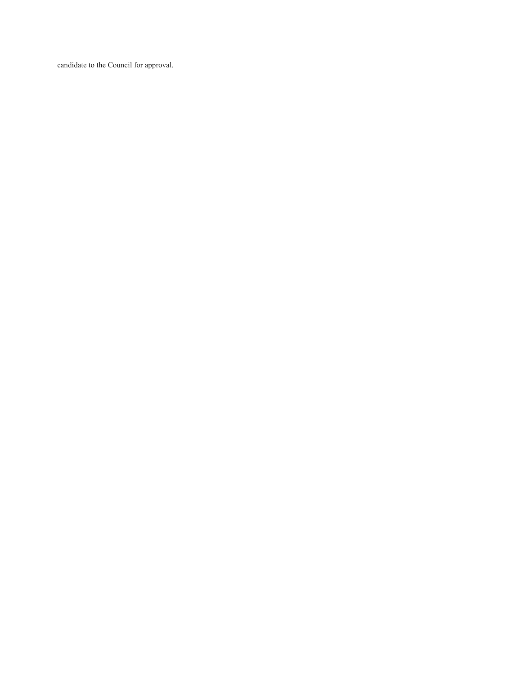candidate to the Council for approval.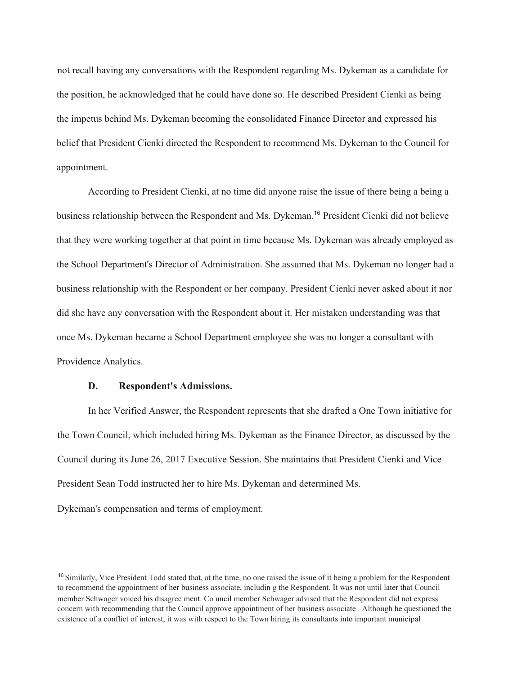not recall having any conversations with the Respondent regarding Ms. Dykeman as a candidate for the position, he acknowledged that he could have done so. He described President Cienki as being the impetus behind Ms. Dykeman becoming the consolidated Finance Director and expressed his belief that President Cienki directed the Respondent to recommend Ms. Dykeman to the Council for appointment.

According to President Cienki, at no time did anyone raise the issue of there being a being a business relationship between the Respondent and Ms. Dykeman. <sup>16</sup> President Cienki did not believe that they were working together at that point in time because Ms. Dykeman was already employed as the School Department's Director of Administration. She assumed that Ms. Dykeman no longer had a business relationship with the Respondent or her company. President Cienki never asked about it nor did she have any conversation with the Respondent about it. Her mistaken understanding was that once Ms. Dykeman became a School Department employee she was no longer a consultant with Providence Analytics.

## **D. Respondent's Admissions.**

In her Verified Answer, the Respondent represents that she drafted a One Town initiative for the Town Council, which included hiring Ms. Dykeman as the Finance Director, as discussed by the Council during its June 26, 2017 Executive Session. She maintains that President Cienki and Vice President Sean Todd instructed her to hire Ms. Dykeman and determined Ms.

Dykeman's compensation and terms of employment.

<sup>&</sup>lt;sup>16</sup> Similarly, Vice President Todd stated that, at the time, no one raised the issue of it being a problem for the Respondent to recommend the appointment of her business associate, includin g the Respondent. It was not until later that Council member Schwager voiced his disagree ment. Co uncil member Schwager advised that the Respondent did not express concern with recommending that the Council approve appointment of her business associate . Although he questioned the existence of a conflict of interest, it was with respect to the Town hiring its consultants into important municipal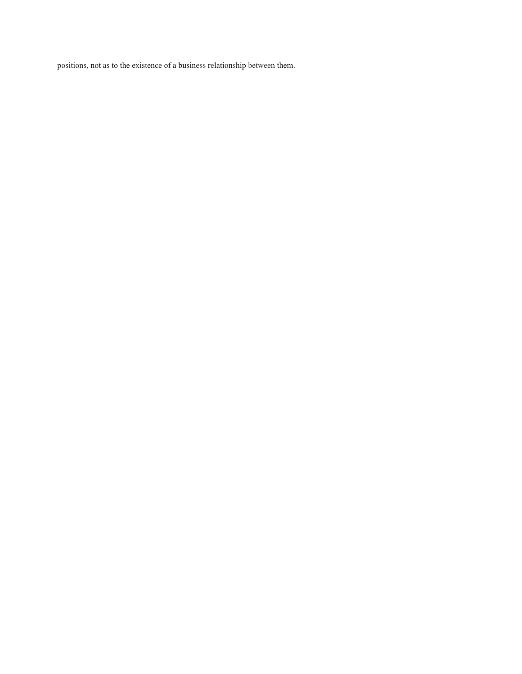positions, not as to the existence of a business relationship between them.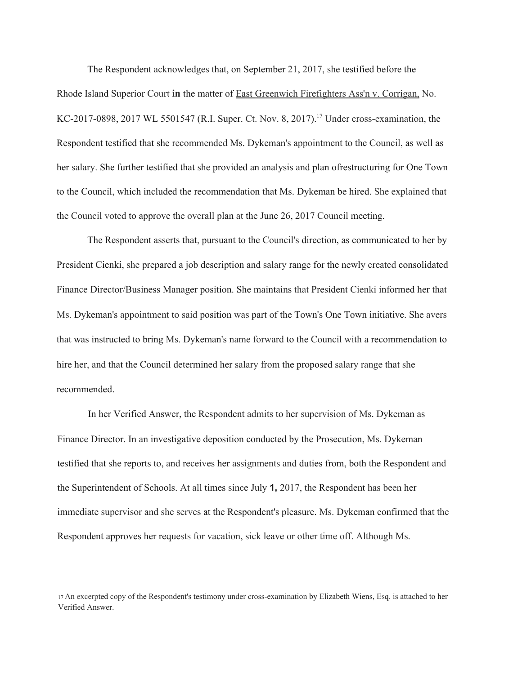The Respondent acknowledges that, on September 21, 2017, she testified before the Rhode Island Superior Court **in** the matter of East Greenwich Firefighters Ass'n v. Corrigan, No. KC-2017-0898, 2017 WL 5501547 (R.I. Super. Ct. Nov. 8, 2017). <sup>17</sup> Under cross-examination, the Respondent testified that she recommended Ms. Dykeman's appointment to the Council, as well as her salary. She further testified that she provided an analysis and plan ofrestructuring for One Town to the Council, which included the recommendation that Ms. Dykeman be hired. She explained that the Council voted to approve the overall plan at the June 26, 2017 Council meeting.

The Respondent asserts that, pursuant to the Council's direction, as communicated to her by President Cienki, she prepared a job description and salary range for the newly created consolidated Finance Director/Business Manager position. She maintains that President Cienki informed her that Ms. Dykeman's appointment to said position was part of the Town's One Town initiative. She avers that was instructed to bring Ms. Dykeman's name forward to the Council with a recommendation to hire her, and that the Council determined her salary from the proposed salary range that she recommended.

In her Verified Answer, the Respondent admits to her supervision of Ms. Dykeman as Finance Director. In an investigative deposition conducted by the Prosecution, Ms. Dykeman testified that she reports to, and receives her assignments and duties from, both the Respondent and the Superintendent of Schools. At all times since July **1,** 2017, the Respondent has been her immediate supervisor and she serves at the Respondent's pleasure. Ms. Dykeman confirmed that the Respondent approves her requests for vacation, sick leave or other time off. Although Ms.

<sup>17</sup> An excerpted copy of the Respondent's testimony under cross-examination by Elizabeth Wiens, Esq. is attached to her Verified Answer.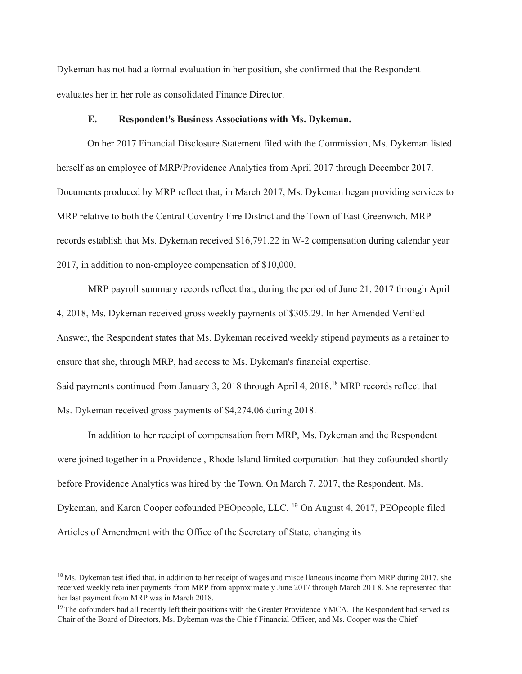Dykeman has not had a formal evaluation in her position, she confirmed that the Respondent evaluates her in her role as consolidated Finance Director.

#### **E. Respondent's Business Associations with Ms. Dykeman.**

On her 2017 Financial Disclosure Statement filed with the Commission, Ms. Dykeman listed herself as an employee of MRP/Providence Analytics from April 2017 through December 2017. Documents produced by MRP reflect that, in March 2017, Ms. Dykeman began providing services to MRP relative to both the Central Coventry Fire District and the Town of East Greenwich. MRP records establish that Ms. Dykeman received \$16,791.22 in W-2 compensation during calendar year 2017, in addition to non-employee compensation of \$10,000.

MRP payroll summary records reflect that, during the period of June 21, 2017 through April 4, 2018, Ms. Dykeman received gross weekly payments of \$305.29. In her Amended Verified Answer, the Respondent states that Ms. Dykeman received weekly stipend payments as a retainer to ensure that she, through MRP, had access to Ms. Dykeman's financial expertise. Said payments continued from January 3, 2018 through April 4, 2018.<sup>18</sup> MRP records reflect that Ms. Dykeman received gross payments of \$4,274.06 during 2018.

In addition to her receipt of compensation from MRP, Ms. Dykeman and the Respondent were joined together in a Providence , Rhode Island limited corporation that they cofounded shortly before Providence Analytics was hired by the Town. On March 7, 2017, the Respondent, Ms. Dykeman, and Karen Cooper cofounded PEOpeople, LLC. <sup>19</sup> On August 4, 2017, PEOpeople filed Articles of Amendment with the Office of the Secretary of State, changing its

<sup>&</sup>lt;sup>18</sup> Ms. Dykeman test ified that, in addition to her receipt of wages and misce llaneous income from MRP during 2017, she received weekly reta iner payments from MRP from approximately June 2017 through March 20 I 8. She represented that her last payment from MRP was in March 2018.

 $<sup>19</sup>$  The cofounders had all recently left their positions with the Greater Providence YMCA. The Respondent had served as</sup> Chair of the Board of Directors, Ms. Dykeman was the Chie f Financial Officer, and Ms. Cooper was the Chief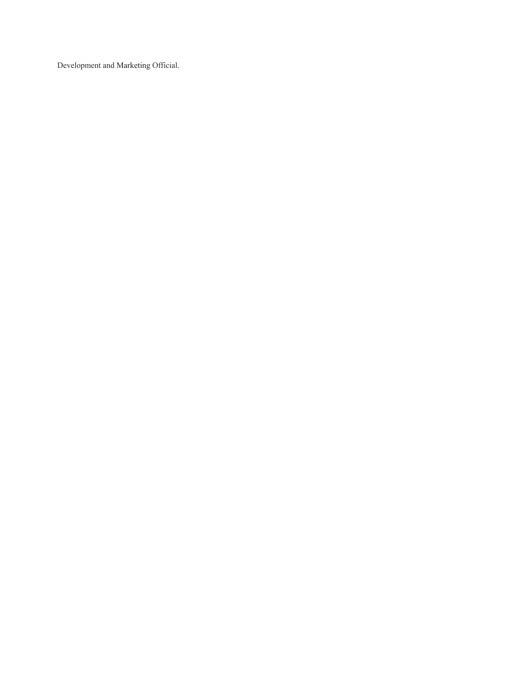Development and Marketing Official.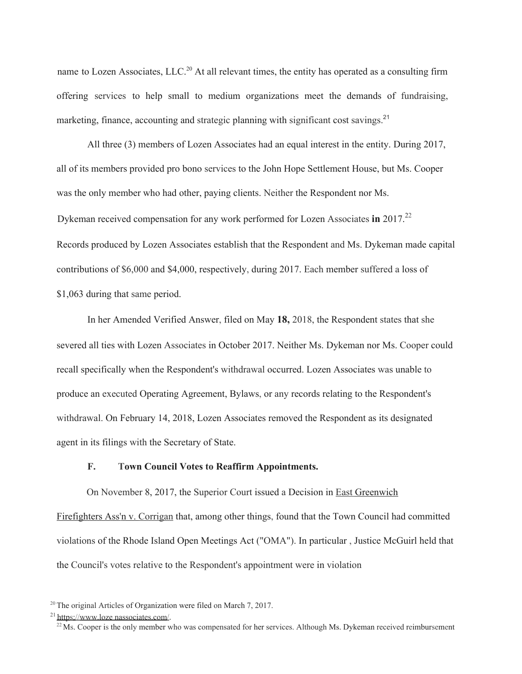name to Lozen Associates, LLC.<sup>20</sup> At all relevant times, the entity has operated as a consulting firm offering services to help small to medium organizations meet the demands of fundraising, marketing, finance, accounting and strategic planning with significant cost savings.<sup>21</sup>

All three (3) members of Lozen Associates had an equal interest in the entity. During 2017, all of its members provided pro bono services to the John Hope Settlement House, but Ms. Cooper was the only member who had other, paying clients. Neither the Respondent nor Ms. Dykeman received compensation for any work performed for Lozen Associates **in** 2017. 22 Records produced by Lozen Associates establish that the Respondent and Ms. Dykeman made capital contributions of \$6,000 and \$4,000, respectively, during 2017. Each member suffered a loss of \$1,063 during that same period.

In her Amended Verified Answer, filed on May **18,** 2018, the Respondent states that she severed all ties with Lozen Associates in October 2017. Neither Ms. Dykeman nor Ms. Cooper could recall specifically when the Respondent's withdrawal occurred. Lozen Associates was unable to produce an executed Operating Agreement, Bylaws, or any records relating to the Respondent's withdrawal. On February 14, 2018, Lozen Associates removed the Respondent as its designated agent in its filings with the Secretary of State.

### **F. Town Council Votes to Reaffirm Appointments.**

On November 8, 2017, the Superior Court issued a Decision in East Greenwich

Firefighters Ass'n v. Corrigan that, among other things, found that the Town Council had committed violations of the Rhode Island Open Meetings Act ("OMA"). In particular , Justice McGuirl held that the Council's votes relative to the Respondent's appointment were in violation

 $20$ <sup>20</sup> The original Articles of Organization were filed on March 7, 2017.

<sup>21</sup> https://www.loze [nassociates.com/.](http://www.lozenassociates.com/)

 $^{22}$ Ms. Cooper is the only member who was compensated for her services. Although Ms. Dykeman received reimbursement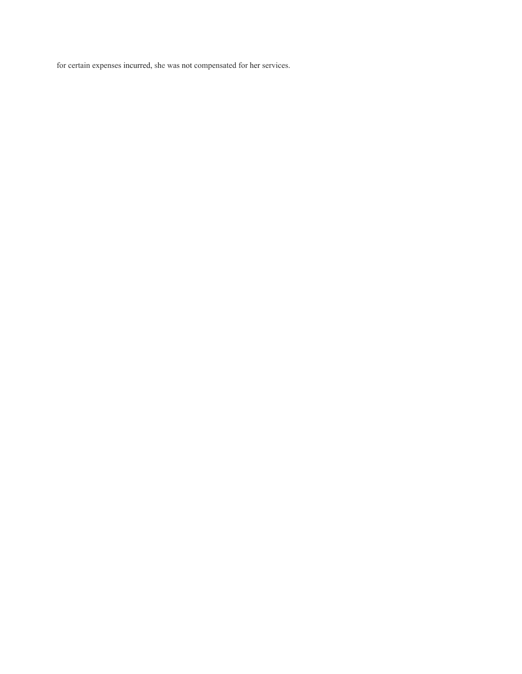for certain expenses incurred, she was not compensated for her services.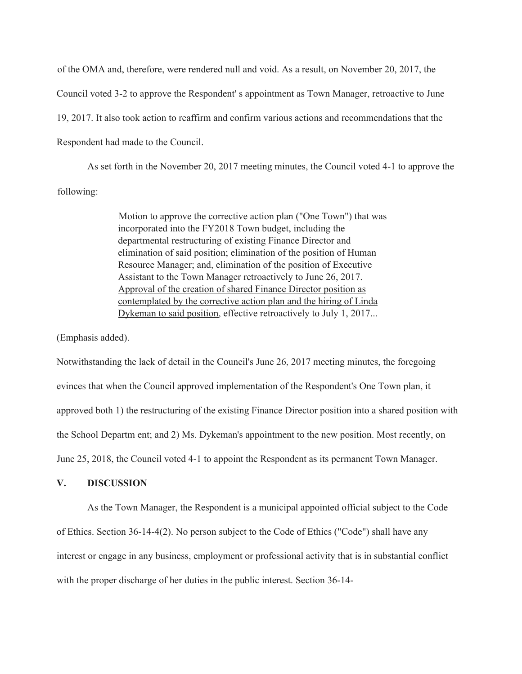of the OMA and, therefore, were rendered null and void. As a result, on November 20, 2017, the Council voted 3-2 to approve the Respondent' s appointment as Town Manager, retroactive to June 19, 2017. It also took action to reaffirm and confirm various actions and recommendations that the Respondent had made to the Council.

As set forth in the November 20, 2017 meeting minutes, the Council voted 4-1 to approve the following:

> Motion to approve the corrective action plan ("One Town") that was incorporated into the FY2018 Town budget, including the departmental restructuring of existing Finance Director and elimination of said position; elimination of the position of Human Resource Manager; and, elimination of the position of Executive Assistant to the Town Manager retroactively to June 26, 2017. Approval of the creation of shared Finance Director position as contemplated by the corrective action plan and the hiring of Linda Dykeman to said position, effective retroactively to July 1, 2017...

(Emphasis added).

Notwithstanding the lack of detail in the Council's June 26, 2017 meeting minutes, the foregoing evinces that when the Council approved implementation of the Respondent's One Town plan, it approved both 1) the restructuring of the existing Finance Director position into a shared position with the School Departm ent; and 2) Ms. Dykeman's appointment to the new position. Most recently, on June 25, 2018, the Council voted 4-1 to appoint the Respondent as its permanent Town Manager.

# **V. DISCUSSION**

As the Town Manager, the Respondent is a municipal appointed official subject to the Code of Ethics. Section 36-14-4(2). No person subject to the Code of Ethics ("Code") shall have any interest or engage in any business, employment or professional activity that is in substantial conflict with the proper discharge of her duties in the public interest. Section 36-14-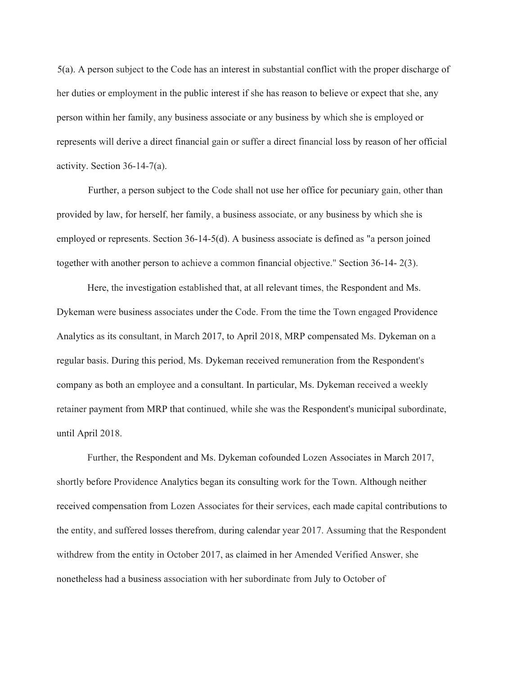5(a). A person subject to the Code has an interest in substantial conflict with the proper discharge of her duties or employment in the public interest if she has reason to believe or expect that she, any person within her family, any business associate or any business by which she is employed or represents will derive a direct financial gain or suffer a direct financial loss by reason of her official activity. Section 36-14-7(a).

Further, a person subject to the Code shall not use her office for pecuniary gain, other than provided by law, for herself, her family, a business associate, or any business by which she is employed or represents. Section 36-14-5(d). A business associate is defined as "a person joined together with another person to achieve a common financial objective." Section 36-14- 2(3).

Here, the investigation established that, at all relevant times, the Respondent and Ms. Dykeman were business associates under the Code. From the time the Town engaged Providence Analytics as its consultant, in March 2017, to April 2018, MRP compensated Ms. Dykeman on a regular basis. During this period, Ms. Dykeman received remuneration from the Respondent's company as both an employee and a consultant. In particular, Ms. Dykeman received a weekly retainer payment from MRP that continued, while she was the Respondent's municipal subordinate, until April 2018.

Further, the Respondent and Ms. Dykeman cofounded Lozen Associates in March 2017, shortly before Providence Analytics began its consulting work for the Town. Although neither received compensation from Lozen Associates for their services, each made capital contributions to the entity, and suffered losses therefrom, during calendar year 2017. Assuming that the Respondent withdrew from the entity in October 2017, as claimed in her Amended Verified Answer, she nonetheless had a business association with her subordinate from July to October of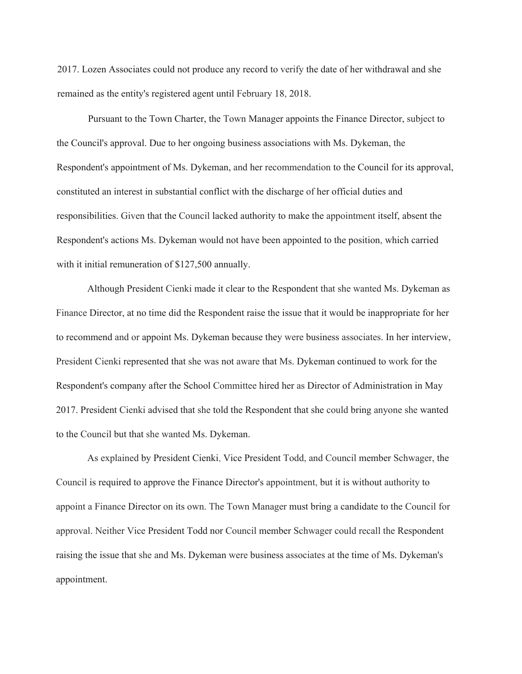2017. Lozen Associates could not produce any record to verify the date of her withdrawal and she remained as the entity's registered agent until February 18, 2018.

Pursuant to the Town Charter, the Town Manager appoints the Finance Director, subject to the Council's approval. Due to her ongoing business associations with Ms. Dykeman, the Respondent's appointment of Ms. Dykeman, and her recommendation to the Council for its approval, constituted an interest in substantial conflict with the discharge of her official duties and responsibilities. Given that the Council lacked authority to make the appointment itself, absent the Respondent's actions Ms. Dykeman would not have been appointed to the position, which carried with it initial remuneration of \$127,500 annually.

Although President Cienki made it clear to the Respondent that she wanted Ms. Dykeman as Finance Director, at no time did the Respondent raise the issue that it would be inappropriate for her to recommend and or appoint Ms. Dykeman because they were business associates. In her interview, President Cienki represented that she was not aware that Ms. Dykeman continued to work for the Respondent's company after the School Committee hired her as Director of Administration in May 2017. President Cienki advised that she told the Respondent that she could bring anyone she wanted to the Council but that she wanted Ms. Dykeman.

As explained by President Cienki, Vice President Todd, and Council member Schwager, the Council is required to approve the Finance Director's appointment, but it is without authority to appoint a Finance Director on its own. The Town Manager must bring a candidate to the Council for approval. Neither Vice President Todd nor Council member Schwager could recall the Respondent raising the issue that she and Ms. Dykeman were business associates at the time of Ms. Dykeman's appointment.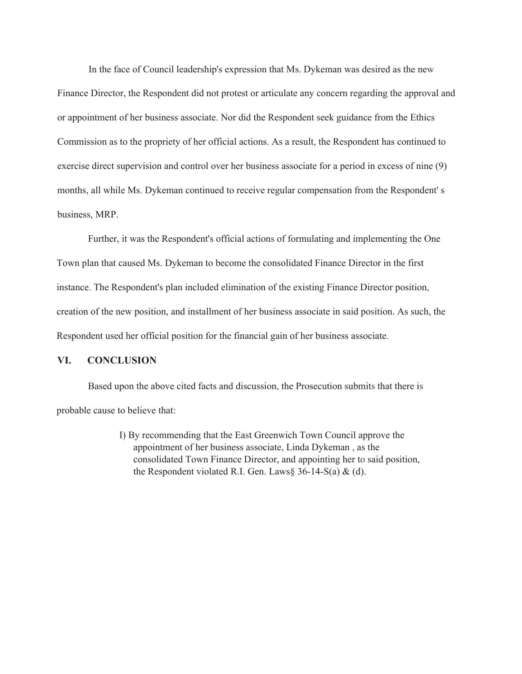In the face of Council leadership's expression that Ms. Dykeman was desired as the new

Finance Director, the Respondent did not protest or articulate any concern regarding the approval and or appointment of her business associate. Nor did the Respondent seek guidance from the Ethics Commission as to the propriety of her official actions. As a result, the Respondent has continued to exercise direct supervision and control over her business associate for a period in excess of nine (9) months, all while Ms. Dykeman continued to receive regular compensation from the Respondent' s business, MRP.

Further, it was the Respondent's official actions of formulating and implementing the One Town plan that caused Ms. Dykeman to become the consolidated Finance Director in the first instance. The Respondent's plan included elimination of the existing Finance Director position, creation of the new position, and installment of her business associate in said position. As such, the Respondent used her official position for the financial gain of her business associate.

# **VI. CONCLUSION**

Based upon the above cited facts and discussion, the Prosecution submits that there is probable cause to believe that:

> I) By recommending that the East Greenwich Town Council approve the appointment of her business associate, Linda Dykeman , as the consolidated Town Finance Director, and appointing her to said position, the Respondent violated R.I. Gen. Laws§  $36-14-S(a)$  & (d).